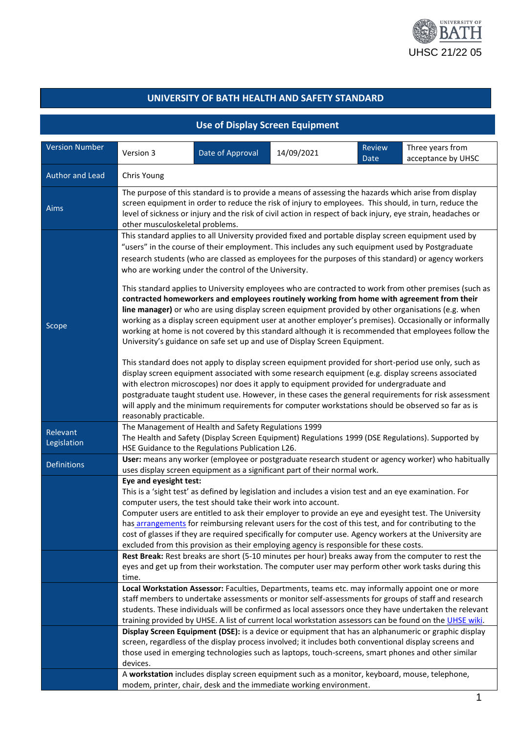

## **UNIVERSITY OF BATH HEALTH AND SAFETY STANDARD**

|                         |                                                                                                                                                                                                                                                                                                                                                                                                                                                                                                          | <b>Use of Display Screen Equipment</b>                                                                                                                                                                                                                             |            |                       |                                                                                                                                                                                                                                                                                                                                                                                                                                                                                                                           |  |  |
|-------------------------|----------------------------------------------------------------------------------------------------------------------------------------------------------------------------------------------------------------------------------------------------------------------------------------------------------------------------------------------------------------------------------------------------------------------------------------------------------------------------------------------------------|--------------------------------------------------------------------------------------------------------------------------------------------------------------------------------------------------------------------------------------------------------------------|------------|-----------------------|---------------------------------------------------------------------------------------------------------------------------------------------------------------------------------------------------------------------------------------------------------------------------------------------------------------------------------------------------------------------------------------------------------------------------------------------------------------------------------------------------------------------------|--|--|
| <b>Version Number</b>   | Version 3                                                                                                                                                                                                                                                                                                                                                                                                                                                                                                | Date of Approval                                                                                                                                                                                                                                                   | 14/09/2021 | <b>Review</b><br>Date | Three years from<br>acceptance by UHSC                                                                                                                                                                                                                                                                                                                                                                                                                                                                                    |  |  |
| Author and Lead         | Chris Young                                                                                                                                                                                                                                                                                                                                                                                                                                                                                              |                                                                                                                                                                                                                                                                    |            |                       |                                                                                                                                                                                                                                                                                                                                                                                                                                                                                                                           |  |  |
| Aims                    | The purpose of this standard is to provide a means of assessing the hazards which arise from display<br>screen equipment in order to reduce the risk of injury to employees. This should, in turn, reduce the<br>level of sickness or injury and the risk of civil action in respect of back injury, eye strain, headaches or<br>other musculoskeletal problems.                                                                                                                                         |                                                                                                                                                                                                                                                                    |            |                       |                                                                                                                                                                                                                                                                                                                                                                                                                                                                                                                           |  |  |
|                         |                                                                                                                                                                                                                                                                                                                                                                                                                                                                                                          | "users" in the course of their employment. This includes any such equipment used by Postgraduate<br>who are working under the control of the University.                                                                                                           |            |                       | This standard applies to all University provided fixed and portable display screen equipment used by<br>research students (who are classed as employees for the purposes of this standard) or agency workers<br>This standard applies to University employees who are contracted to work from other premises (such as<br>contracted homeworkers and employees routinely working from home with agreement from their<br>line manager) or who are using display screen equipment provided by other organisations (e.g. when |  |  |
| Scope                   | working as a display screen equipment user at another employer's premises). Occasionally or informally<br>working at home is not covered by this standard although it is recommended that employees follow the<br>University's guidance on safe set up and use of Display Screen Equipment.<br>This standard does not apply to display screen equipment provided for short-period use only, such as<br>display screen equipment associated with some research equipment (e.g. display screens associated |                                                                                                                                                                                                                                                                    |            |                       |                                                                                                                                                                                                                                                                                                                                                                                                                                                                                                                           |  |  |
|                         | with electron microscopes) nor does it apply to equipment provided for undergraduate and<br>postgraduate taught student use. However, in these cases the general requirements for risk assessment<br>will apply and the minimum requirements for computer workstations should be observed so far as is<br>reasonably practicable.                                                                                                                                                                        |                                                                                                                                                                                                                                                                    |            |                       |                                                                                                                                                                                                                                                                                                                                                                                                                                                                                                                           |  |  |
| Relevant<br>Legislation |                                                                                                                                                                                                                                                                                                                                                                                                                                                                                                          | The Management of Health and Safety Regulations 1999<br>HSE Guidance to the Regulations Publication L26.                                                                                                                                                           |            |                       | The Health and Safety (Display Screen Equipment) Regulations 1999 (DSE Regulations). Supported by                                                                                                                                                                                                                                                                                                                                                                                                                         |  |  |
| <b>Definitions</b>      | User: means any worker (employee or postgraduate research student or agency worker) who habitually<br>uses display screen equipment as a significant part of their normal work.                                                                                                                                                                                                                                                                                                                          |                                                                                                                                                                                                                                                                    |            |                       |                                                                                                                                                                                                                                                                                                                                                                                                                                                                                                                           |  |  |
|                         | Eye and eyesight test:                                                                                                                                                                                                                                                                                                                                                                                                                                                                                   | This is a 'sight test' as defined by legislation and includes a vision test and an eye examination. For<br>computer users, the test should take their work into account.<br>excluded from this provision as their employing agency is responsible for these costs. |            |                       | Computer users are entitled to ask their employer to provide an eye and eyesight test. The University<br>has arrangements for reimbursing relevant users for the cost of this test, and for contributing to the<br>cost of glasses if they are required specifically for computer use. Agency workers at the University are                                                                                                                                                                                               |  |  |
|                         | time.                                                                                                                                                                                                                                                                                                                                                                                                                                                                                                    |                                                                                                                                                                                                                                                                    |            |                       | Rest Break: Rest breaks are short (5-10 minutes per hour) breaks away from the computer to rest the<br>eyes and get up from their workstation. The computer user may perform other work tasks during this                                                                                                                                                                                                                                                                                                                 |  |  |
|                         |                                                                                                                                                                                                                                                                                                                                                                                                                                                                                                          |                                                                                                                                                                                                                                                                    |            |                       | Local Workstation Assessor: Faculties, Departments, teams etc. may informally appoint one or more<br>staff members to undertake assessments or monitor self-assessments for groups of staff and research<br>students. These individuals will be confirmed as local assessors once they have undertaken the relevant<br>training provided by UHSE. A list of current local workstation assessors can be found on the UHSE wiki.                                                                                            |  |  |
|                         | devices.                                                                                                                                                                                                                                                                                                                                                                                                                                                                                                 |                                                                                                                                                                                                                                                                    |            |                       | Display Screen Equipment (DSE): is a device or equipment that has an alphanumeric or graphic display<br>screen, regardless of the display process involved; it includes both conventional display screens and<br>those used in emerging technologies such as laptops, touch-screens, smart phones and other similar                                                                                                                                                                                                       |  |  |
|                         |                                                                                                                                                                                                                                                                                                                                                                                                                                                                                                          | A workstation includes display screen equipment such as a monitor, keyboard, mouse, telephone,<br>modem, printer, chair, desk and the immediate working environment.                                                                                               |            |                       |                                                                                                                                                                                                                                                                                                                                                                                                                                                                                                                           |  |  |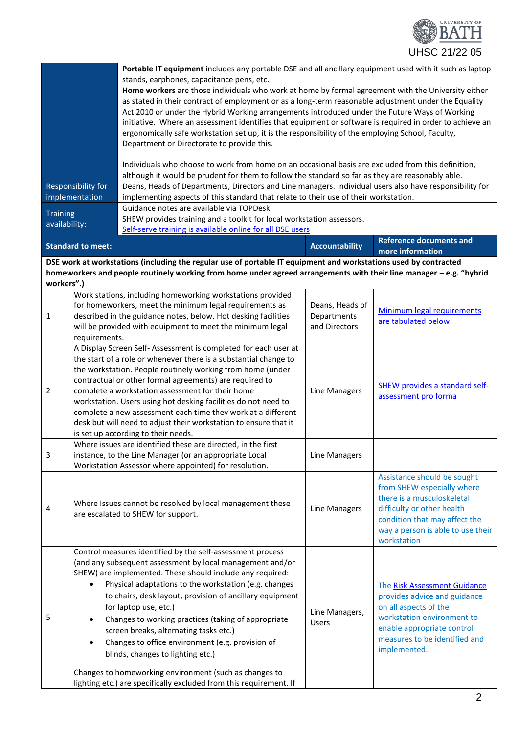

|                                                                                                                  | Portable IT equipment includes any portable DSE and all ancillary equipment used with it such as laptop                                                                                                                                                                                                                                                                                                                                                                                                                                                                    |                       |                                                    |  |  |
|------------------------------------------------------------------------------------------------------------------|----------------------------------------------------------------------------------------------------------------------------------------------------------------------------------------------------------------------------------------------------------------------------------------------------------------------------------------------------------------------------------------------------------------------------------------------------------------------------------------------------------------------------------------------------------------------------|-----------------------|----------------------------------------------------|--|--|
|                                                                                                                  | stands, earphones, capacitance pens, etc.                                                                                                                                                                                                                                                                                                                                                                                                                                                                                                                                  |                       |                                                    |  |  |
|                                                                                                                  | Home workers are those individuals who work at home by formal agreement with the University either<br>as stated in their contract of employment or as a long-term reasonable adjustment under the Equality<br>Act 2010 or under the Hybrid Working arrangements introduced under the Future Ways of Working<br>initiative. Where an assessment identifies that equipment or software is required in order to achieve an<br>ergonomically safe workstation set up, it is the responsibility of the employing School, Faculty,<br>Department or Directorate to provide this. |                       |                                                    |  |  |
|                                                                                                                  | Individuals who choose to work from home on an occasional basis are excluded from this definition,<br>although it would be prudent for them to follow the standard so far as they are reasonably able.                                                                                                                                                                                                                                                                                                                                                                     |                       |                                                    |  |  |
| Responsibility for                                                                                               | Deans, Heads of Departments, Directors and Line managers. Individual users also have responsibility for                                                                                                                                                                                                                                                                                                                                                                                                                                                                    |                       |                                                    |  |  |
| implementation                                                                                                   | implementing aspects of this standard that relate to their use of their workstation.                                                                                                                                                                                                                                                                                                                                                                                                                                                                                       |                       |                                                    |  |  |
| <b>Training</b><br>availability:                                                                                 | Guidance notes are available via TOPDesk<br>SHEW provides training and a toolkit for local workstation assessors.<br>Self-serve training is available online for all DSE users                                                                                                                                                                                                                                                                                                                                                                                             |                       |                                                    |  |  |
| <b>Standard to meet:</b>                                                                                         |                                                                                                                                                                                                                                                                                                                                                                                                                                                                                                                                                                            | <b>Accountability</b> | <b>Reference documents and</b><br>more information |  |  |
| DSE work at workstations (including the regular use of portable IT equipment and workstations used by contracted |                                                                                                                                                                                                                                                                                                                                                                                                                                                                                                                                                                            |                       |                                                    |  |  |

**homeworkers and people routinely working from home under agreed arrangements with their line manager – e.g. "hybrid workers".)**

| $\mathbf{1}$   | Work stations, including homeworking workstations provided<br>for homeworkers, meet the minimum legal requirements as<br>described in the guidance notes, below. Hot desking facilities<br>will be provided with equipment to meet the minimum legal<br>requirements.                                                                                                                                                                                                                                                                                                                                                                                                                               | Deans, Heads of<br>Departments<br>and Directors | Minimum legal requirements<br>are tabulated below                                                                                                                                                          |
|----------------|-----------------------------------------------------------------------------------------------------------------------------------------------------------------------------------------------------------------------------------------------------------------------------------------------------------------------------------------------------------------------------------------------------------------------------------------------------------------------------------------------------------------------------------------------------------------------------------------------------------------------------------------------------------------------------------------------------|-------------------------------------------------|------------------------------------------------------------------------------------------------------------------------------------------------------------------------------------------------------------|
| $\overline{2}$ | A Display Screen Self-Assessment is completed for each user at<br>the start of a role or whenever there is a substantial change to<br>the workstation. People routinely working from home (under<br>contractual or other formal agreements) are required to<br>complete a workstation assessment for their home<br>workstation. Users using hot desking facilities do not need to<br>complete a new assessment each time they work at a different<br>desk but will need to adjust their workstation to ensure that it<br>is set up according to their needs.                                                                                                                                        | Line Managers                                   | <b>SHEW provides a standard self-</b><br>assessment pro forma                                                                                                                                              |
| 3              | Where issues are identified these are directed, in the first<br>instance, to the Line Manager (or an appropriate Local<br>Workstation Assessor where appointed) for resolution.                                                                                                                                                                                                                                                                                                                                                                                                                                                                                                                     | Line Managers                                   |                                                                                                                                                                                                            |
| $\overline{4}$ | Where Issues cannot be resolved by local management these<br>are escalated to SHEW for support.                                                                                                                                                                                                                                                                                                                                                                                                                                                                                                                                                                                                     | Line Managers                                   | Assistance should be sought<br>from SHEW especially where<br>there is a musculoskeletal<br>difficulty or other health<br>condition that may affect the<br>way a person is able to use their<br>workstation |
| 5              | Control measures identified by the self-assessment process<br>(and any subsequent assessment by local management and/or<br>SHEW) are implemented. These should include any required:<br>Physical adaptations to the workstation (e.g. changes<br>$\bullet$<br>to chairs, desk layout, provision of ancillary equipment<br>for laptop use, etc.)<br>Changes to working practices (taking of appropriate<br>$\bullet$<br>screen breaks, alternating tasks etc.)<br>Changes to office environment (e.g. provision of<br>$\bullet$<br>blinds, changes to lighting etc.)<br>Changes to homeworking environment (such as changes to<br>lighting etc.) are specifically excluded from this requirement. If | Line Managers,<br><b>Users</b>                  | The Risk Assessment Guidance<br>provides advice and guidance<br>on all aspects of the<br>workstation environment to<br>enable appropriate control<br>measures to be identified and<br>implemented.         |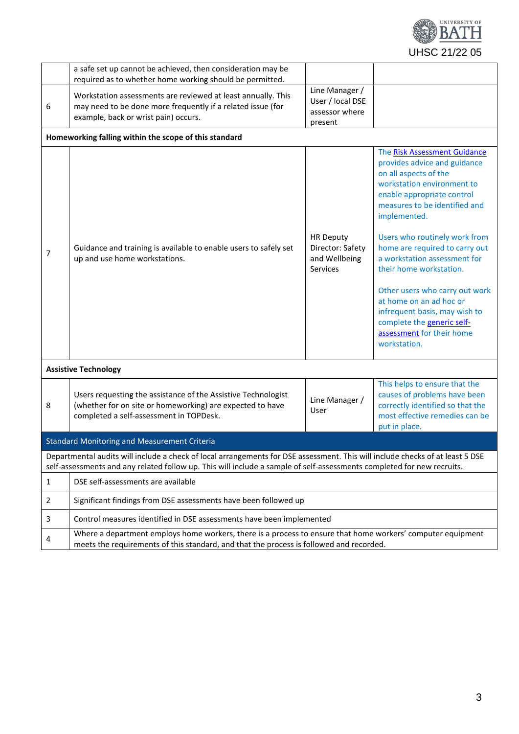

|                | a safe set up cannot be achieved, then consideration may be<br>required as to whether home working should be permitted.                                                                                                                                 |                                                                   |                                                                                                                                                                                                                                                                                                                                                                                                                                                                                                           |  |  |  |
|----------------|---------------------------------------------------------------------------------------------------------------------------------------------------------------------------------------------------------------------------------------------------------|-------------------------------------------------------------------|-----------------------------------------------------------------------------------------------------------------------------------------------------------------------------------------------------------------------------------------------------------------------------------------------------------------------------------------------------------------------------------------------------------------------------------------------------------------------------------------------------------|--|--|--|
| 6              | Workstation assessments are reviewed at least annually. This<br>may need to be done more frequently if a related issue (for<br>example, back or wrist pain) occurs.                                                                                     | Line Manager /<br>User / local DSE<br>assessor where<br>present   |                                                                                                                                                                                                                                                                                                                                                                                                                                                                                                           |  |  |  |
|                | Homeworking falling within the scope of this standard                                                                                                                                                                                                   |                                                                   |                                                                                                                                                                                                                                                                                                                                                                                                                                                                                                           |  |  |  |
| 7              | Guidance and training is available to enable users to safely set<br>up and use home workstations.                                                                                                                                                       | <b>HR Deputy</b><br>Director: Safety<br>and Wellbeing<br>Services | The Risk Assessment Guidance<br>provides advice and guidance<br>on all aspects of the<br>workstation environment to<br>enable appropriate control<br>measures to be identified and<br>implemented.<br>Users who routinely work from<br>home are required to carry out<br>a workstation assessment for<br>their home workstation.<br>Other users who carry out work<br>at home on an ad hoc or<br>infrequent basis, may wish to<br>complete the generic self-<br>assessment for their home<br>workstation. |  |  |  |
|                | <b>Assistive Technology</b>                                                                                                                                                                                                                             |                                                                   |                                                                                                                                                                                                                                                                                                                                                                                                                                                                                                           |  |  |  |
| 8              | Users requesting the assistance of the Assistive Technologist<br>(whether for on site or homeworking) are expected to have<br>completed a self-assessment in TOPDesk.                                                                                   | Line Manager /<br>User                                            | This helps to ensure that the<br>causes of problems have been<br>correctly identified so that the<br>most effective remedies can be<br>put in place.                                                                                                                                                                                                                                                                                                                                                      |  |  |  |
|                | <b>Standard Monitoring and Measurement Criteria</b>                                                                                                                                                                                                     |                                                                   |                                                                                                                                                                                                                                                                                                                                                                                                                                                                                                           |  |  |  |
|                | Departmental audits will include a check of local arrangements for DSE assessment. This will include checks of at least 5 DSE<br>self-assessments and any related follow up. This will include a sample of self-assessments completed for new recruits. |                                                                   |                                                                                                                                                                                                                                                                                                                                                                                                                                                                                                           |  |  |  |
| $\mathbf{1}$   | DSE self-assessments are available                                                                                                                                                                                                                      |                                                                   |                                                                                                                                                                                                                                                                                                                                                                                                                                                                                                           |  |  |  |
| $\overline{2}$ | Significant findings from DSE assessments have been followed up                                                                                                                                                                                         |                                                                   |                                                                                                                                                                                                                                                                                                                                                                                                                                                                                                           |  |  |  |
| 3              | Control measures identified in DSE assessments have been implemented                                                                                                                                                                                    |                                                                   |                                                                                                                                                                                                                                                                                                                                                                                                                                                                                                           |  |  |  |
| 4              | Where a department employs home workers, there is a process to ensure that home workers' computer equipment<br>meets the requirements of this standard, and that the process is followed and recorded.                                                  |                                                                   |                                                                                                                                                                                                                                                                                                                                                                                                                                                                                                           |  |  |  |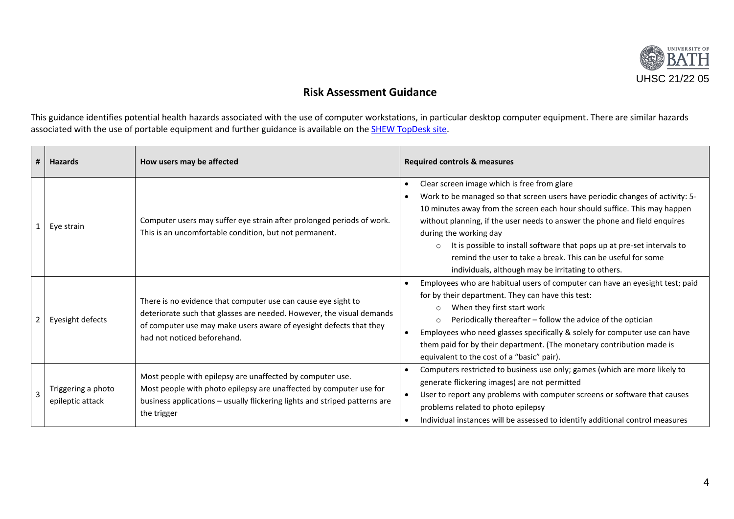

## **Risk Assessment Guidance**

This guidance identifies potential health hazards associated with the use of computer workstations, in particular desktop computer equipment. There are similar hazards associated with the use of portable equipment and further guidance is available on the **SHEW TopDesk site**.

| #              | <b>Hazards</b>                         | How users may be affected                                                                                                                                                                                                                   | <b>Required controls &amp; measures</b>                                                                                                                                                                                                                                                                                                                                                                                                                                                                            |
|----------------|----------------------------------------|---------------------------------------------------------------------------------------------------------------------------------------------------------------------------------------------------------------------------------------------|--------------------------------------------------------------------------------------------------------------------------------------------------------------------------------------------------------------------------------------------------------------------------------------------------------------------------------------------------------------------------------------------------------------------------------------------------------------------------------------------------------------------|
| 1              | Eye strain                             | Computer users may suffer eye strain after prolonged periods of work.<br>This is an uncomfortable condition, but not permanent.                                                                                                             | Clear screen image which is free from glare<br>Work to be managed so that screen users have periodic changes of activity: 5-<br>10 minutes away from the screen each hour should suffice. This may happen<br>without planning, if the user needs to answer the phone and field enquires<br>during the working day<br>It is possible to install software that pops up at pre-set intervals to<br>remind the user to take a break. This can be useful for some<br>individuals, although may be irritating to others. |
| $\overline{2}$ | Eyesight defects                       | There is no evidence that computer use can cause eye sight to<br>deteriorate such that glasses are needed. However, the visual demands<br>of computer use may make users aware of eyesight defects that they<br>had not noticed beforehand. | Employees who are habitual users of computer can have an eyesight test; paid<br>for by their department. They can have this test:<br>When they first start work<br>Periodically thereafter - follow the advice of the optician<br>$\circ$<br>Employees who need glasses specifically & solely for computer use can have<br>them paid for by their department. (The monetary contribution made is<br>equivalent to the cost of a "basic" pair).                                                                     |
| $\overline{3}$ | Triggering a photo<br>epileptic attack | Most people with epilepsy are unaffected by computer use.<br>Most people with photo epilepsy are unaffected by computer use for<br>business applications - usually flickering lights and striped patterns are<br>the trigger                | Computers restricted to business use only; games (which are more likely to<br>generate flickering images) are not permitted<br>User to report any problems with computer screens or software that causes<br>problems related to photo epilepsy<br>Individual instances will be assessed to identify additional control measures                                                                                                                                                                                    |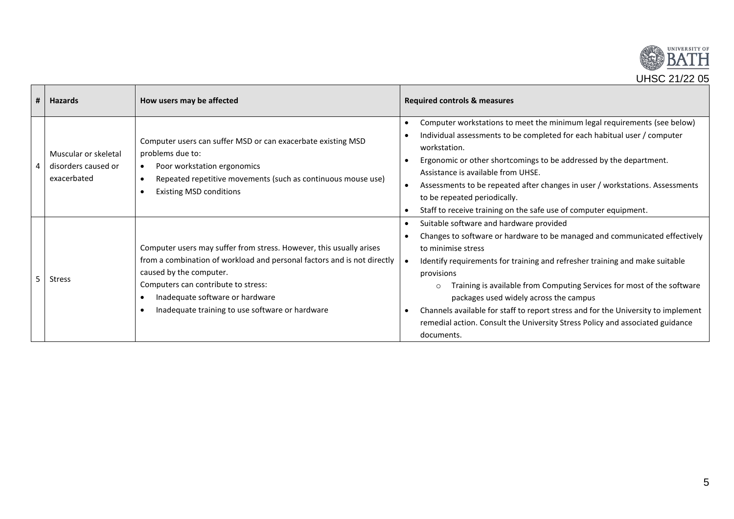

| # | <b>Hazards</b>                                             | How users may be affected                                                                                                                                                                                                                                                                              | Required controls & measures                                                                                                                                                                                                                                                                                                                                                                                                                                                                                                                     |
|---|------------------------------------------------------------|--------------------------------------------------------------------------------------------------------------------------------------------------------------------------------------------------------------------------------------------------------------------------------------------------------|--------------------------------------------------------------------------------------------------------------------------------------------------------------------------------------------------------------------------------------------------------------------------------------------------------------------------------------------------------------------------------------------------------------------------------------------------------------------------------------------------------------------------------------------------|
|   | Muscular or skeletal<br>disorders caused or<br>exacerbated | Computer users can suffer MSD or can exacerbate existing MSD<br>problems due to:<br>Poor workstation ergonomics<br>$\bullet$<br>Repeated repetitive movements (such as continuous mouse use)<br>$\bullet$<br><b>Existing MSD conditions</b><br>$\bullet$                                               | Computer workstations to meet the minimum legal requirements (see below)<br>Individual assessments to be completed for each habitual user / computer<br>workstation.<br>Ergonomic or other shortcomings to be addressed by the department.<br>Assistance is available from UHSE.<br>Assessments to be repeated after changes in user / workstations. Assessments<br>to be repeated periodically.<br>Staff to receive training on the safe use of computer equipment.                                                                             |
|   | <b>Stress</b>                                              | Computer users may suffer from stress. However, this usually arises<br>from a combination of workload and personal factors and is not directly<br>caused by the computer.<br>Computers can contribute to stress:<br>Inadequate software or hardware<br>Inadequate training to use software or hardware | Suitable software and hardware provided<br>Changes to software or hardware to be managed and communicated effectively<br>to minimise stress<br>Identify requirements for training and refresher training and make suitable<br>provisions<br>Training is available from Computing Services for most of the software<br>packages used widely across the campus<br>Channels available for staff to report stress and for the University to implement<br>remedial action. Consult the University Stress Policy and associated guidance<br>documents. |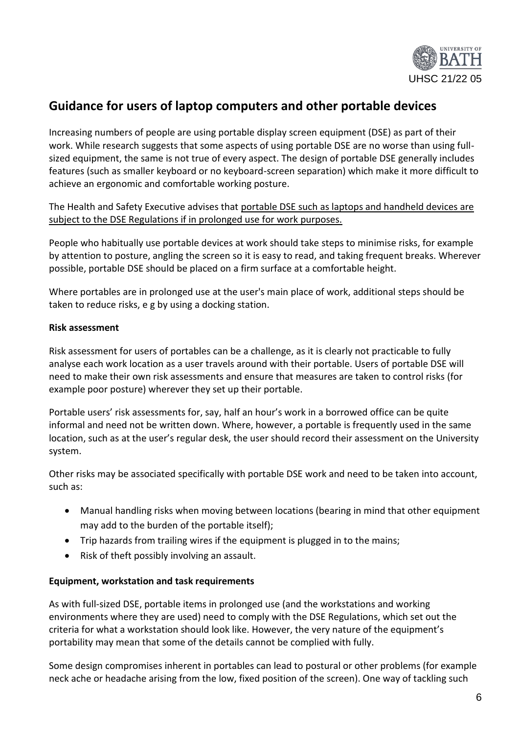

# <span id="page-5-0"></span>**Guidance for users of laptop computers and other portable devices**

Increasing numbers of people are using portable display screen equipment (DSE) as part of their work. While research suggests that some aspects of using portable DSE are no worse than using fullsized equipment, the same is not true of every aspect. The design of portable DSE generally includes features (such as smaller keyboard or no keyboard-screen separation) which make it more difficult to achieve an ergonomic and comfortable working posture.

The Health and Safety Executive advises that portable DSE such as laptops and handheld devices are subject to the DSE Regulations if in prolonged use for work purposes.

People who habitually use portable devices at work should take steps to minimise risks, for example by attention to posture, angling the screen so it is easy to read, and taking frequent breaks. Wherever possible, portable DSE should be placed on a firm surface at a comfortable height.

Where portables are in prolonged use at the user's main place of work, additional steps should be taken to reduce risks, e g by using a docking station.

## **Risk assessment**

Risk assessment for users of portables can be a challenge, as it is clearly not practicable to fully analyse each work location as a user travels around with their portable. Users of portable DSE will need to make their own risk assessments and ensure that measures are taken to control risks (for example poor posture) wherever they set up their portable.

Portable users' risk assessments for, say, half an hour's work in a borrowed office can be quite informal and need not be written down. Where, however, a portable is frequently used in the same location, such as at the user's regular desk, the user should record their assessment on the University system.

Other risks may be associated specifically with portable DSE work and need to be taken into account, such as:

- Manual handling risks when moving between locations (bearing in mind that other equipment may add to the burden of the portable itself);
- Trip hazards from trailing wires if the equipment is plugged in to the mains;
- Risk of theft possibly involving an assault.

## **Equipment, workstation and task requirements**

As with full-sized DSE, portable items in prolonged use (and the workstations and working environments where they are used) need to comply with the DSE Regulations, which set out the criteria for what a workstation should look like. However, the very nature of the equipment's portability may mean that some of the details cannot be complied with fully.

Some design compromises inherent in portables can lead to postural or other problems (for example neck ache or headache arising from the low, fixed position of the screen). One way of tackling such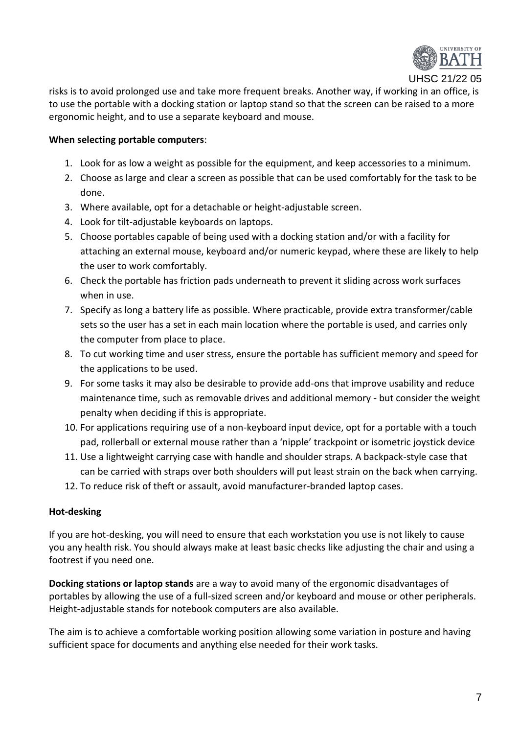

UHSC 21/22 05

risks is to avoid prolonged use and take more frequent breaks. Another way, if working in an office, is to use the portable with a docking station or laptop stand so that the screen can be raised to a more ergonomic height, and to use a separate keyboard and mouse.

## **When selecting portable computers**:

- 1. Look for as low a weight as possible for the equipment, and keep accessories to a minimum.
- 2. Choose as large and clear a screen as possible that can be used comfortably for the task to be done.
- 3. Where available, opt for a detachable or height-adjustable screen.
- 4. Look for tilt-adjustable keyboards on laptops.
- 5. Choose portables capable of being used with a docking station and/or with a facility for attaching an external mouse, keyboard and/or numeric keypad, where these are likely to help the user to work comfortably.
- 6. Check the portable has friction pads underneath to prevent it sliding across work surfaces when in use.
- 7. Specify as long a battery life as possible. Where practicable, provide extra transformer/cable sets so the user has a set in each main location where the portable is used, and carries only the computer from place to place.
- 8. To cut working time and user stress, ensure the portable has sufficient memory and speed for the applications to be used.
- 9. For some tasks it may also be desirable to provide add-ons that improve usability and reduce maintenance time, such as removable drives and additional memory - but consider the weight penalty when deciding if this is appropriate.
- 10. For applications requiring use of a non-keyboard input device, opt for a portable with a touch pad, rollerball or external mouse rather than a 'nipple' trackpoint or isometric joystick device
- 11. Use a lightweight carrying case with handle and shoulder straps. A backpack-style case that can be carried with straps over both shoulders will put least strain on the back when carrying.
- 12. To reduce risk of theft or assault, avoid manufacturer-branded laptop cases.

## **Hot-desking**

If you are hot-desking, you will need to ensure that each workstation you use is not likely to cause you any health risk. You should always make at least basic checks like adjusting the chair and using a footrest if you need one.

**Docking stations or laptop stands** are a way to avoid many of the ergonomic disadvantages of portables by allowing the use of a full-sized screen and/or keyboard and mouse or other peripherals. Height-adjustable stands for notebook computers are also available.

The aim is to achieve a comfortable working position allowing some variation in posture and having sufficient space for documents and anything else needed for their work tasks.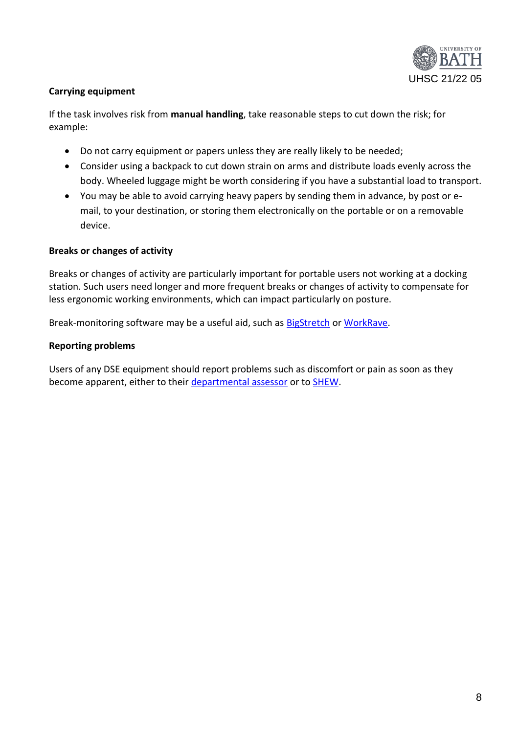

## **Carrying equipment**

If the task involves risk from **manual handling**, take reasonable steps to cut down the risk; for example:

- Do not carry equipment or papers unless they are really likely to be needed;
- Consider using a backpack to cut down strain on arms and distribute loads evenly across the body. Wheeled luggage might be worth considering if you have a substantial load to transport.
- You may be able to avoid carrying heavy papers by sending them in advance, by post or email, to your destination, or storing them electronically on the portable or on a removable device.

## **Breaks or changes of activity**

Breaks or changes of activity are particularly important for portable users not working at a docking station. Such users need longer and more frequent breaks or changes of activity to compensate for less ergonomic working environments, which can impact particularly on posture.

Break-monitoring software may be a useful aid, such as [BigStretch](http://monkeymatt.com/bigstretch/) o[r WorkRave.](http://www.workrave.org/)

### **Reporting problems**

Users of any DSE equipment should report problems such as discomfort or pain as soon as they become apparent, either to their [departmental assessor](https://wiki.bath.ac.uk/pages/viewpage.action?pageId=73848000) or to [SHEW](http://www.bath.ac.uk/hr/stayingsafewell/contacts.html).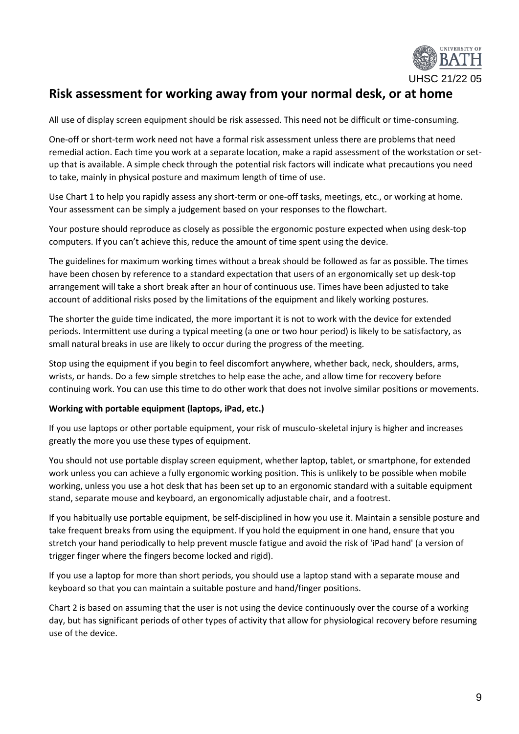

# **Risk assessment for working away from your normal desk, or at home**

All use of display screen equipment should be risk assessed. This need not be difficult or time-consuming.

One-off or short-term work need not have a formal risk assessment unless there are problems that need remedial action. Each time you work at a separate location, make a rapid assessment of the workstation or setup that is available. A simple check through the potential risk factors will indicate what precautions you need to take, mainly in physical posture and maximum length of time of use.

Use Chart 1 to help you rapidly assess any short-term or one-off tasks, meetings, etc., or working at home. Your assessment can be simply a judgement based on your responses to the flowchart.

Your posture should reproduce as closely as possible the ergonomic posture expected when using desk-top computers. If you can't achieve this, reduce the amount of time spent using the device.

The guidelines for maximum working times without a break should be followed as far as possible. The times have been chosen by reference to a standard expectation that users of an ergonomically set up desk-top arrangement will take a short break after an hour of continuous use. Times have been adjusted to take account of additional risks posed by the limitations of the equipment and likely working postures.

The shorter the guide time indicated, the more important it is not to work with the device for extended periods. Intermittent use during a typical meeting (a one or two hour period) is likely to be satisfactory, as small natural breaks in use are likely to occur during the progress of the meeting.

Stop using the equipment if you begin to feel discomfort anywhere, whether back, neck, shoulders, arms, wrists, or hands. Do a few simple stretches to help ease the ache, and allow time for recovery before continuing work. You can use this time to do other work that does not involve similar positions or movements.

#### **Working with portable equipment (laptops, iPad, etc.)**

If you use laptops or other portable equipment, your risk of musculo-skeletal injury is higher and increases greatly the more you use these types of equipment.

You should not use portable display screen equipment, whether laptop, tablet, or smartphone, for extended work unless you can achieve a fully ergonomic working position. This is unlikely to be possible when mobile working, unless you use a hot desk that has been set up to an ergonomic standard with a suitable equipment stand, separate mouse and keyboard, an ergonomically adjustable chair, and a footrest.

If you habitually use portable equipment, be self-disciplined in how you use it. Maintain a sensible posture and take frequent breaks from using the equipment. If you hold the equipment in one hand, ensure that you stretch your hand periodically to help prevent muscle fatigue and avoid the risk of 'iPad hand' (a version of trigger finger where the fingers become locked and rigid).

If you use a laptop for more than short periods, you should use a laptop stand with a separate mouse and keyboard so that you can maintain a suitable posture and hand/finger positions.

Chart 2 is based on assuming that the user is not using the device continuously over the course of a working day, but has significant periods of other types of activity that allow for physiological recovery before resuming use of the device.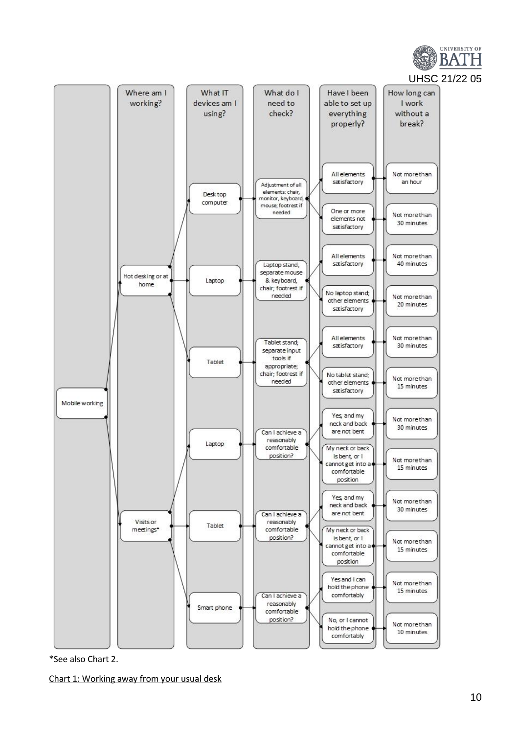

\*See also Chart 2.

Chart 1: Working away from your usual desk

UNIVERSITY OF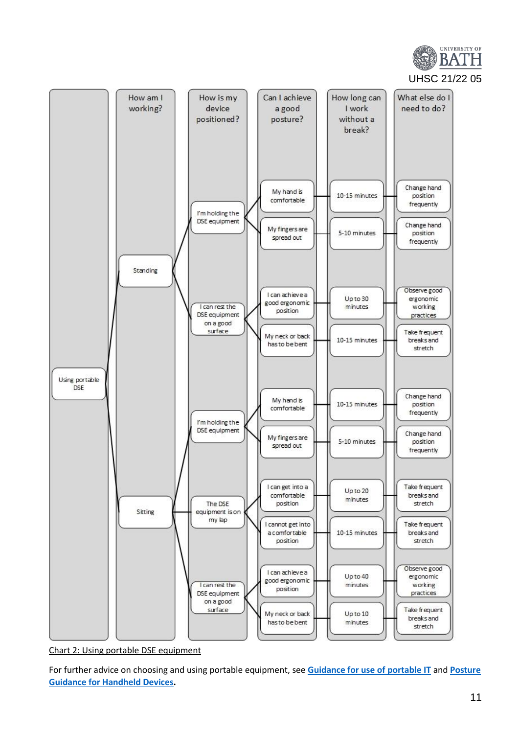



Chart 2: Using portable DSE equipment

For further advice on choosing and using portable equipment, see **[Guidance for use of portable IT](https://wiki.bath.ac.uk/download/attachments/75186015/Guidance-for-use-of-portable-IT-v1.pdf?version=1&modificationDate=1404814274000&api=v2)** and **[Posture](https://wiki.bath.ac.uk/download/attachments/75186015/Handheld%20Devices%20Posture%20Guidance.pdf?version=1&modificationDate=1455015809000&api=v2)  [Guidance for Handheld Devices.](https://wiki.bath.ac.uk/download/attachments/75186015/Handheld%20Devices%20Posture%20Guidance.pdf?version=1&modificationDate=1455015809000&api=v2)**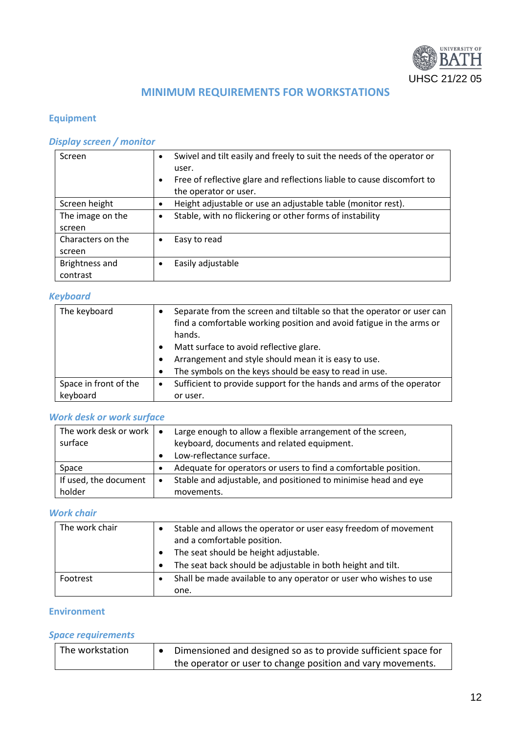

## **MINIMUM REQUIREMENTS FOR WORKSTATIONS**

## **Equipment**

## *Display screen / monitor*

| Screen            | $\bullet$<br>$\bullet$ | Swivel and tilt easily and freely to suit the needs of the operator or<br>user.<br>Free of reflective glare and reflections liable to cause discomfort to<br>the operator or user. |
|-------------------|------------------------|------------------------------------------------------------------------------------------------------------------------------------------------------------------------------------|
| Screen height     | $\bullet$              | Height adjustable or use an adjustable table (monitor rest).                                                                                                                       |
| The image on the  | $\bullet$              | Stable, with no flickering or other forms of instability                                                                                                                           |
| screen            |                        |                                                                                                                                                                                    |
| Characters on the |                        | Easy to read                                                                                                                                                                       |
| screen            |                        |                                                                                                                                                                                    |
| Brightness and    |                        | Easily adjustable                                                                                                                                                                  |
| contrast          |                        |                                                                                                                                                                                    |

## *Keyboard*

| The keyboard          |           | Separate from the screen and tiltable so that the operator or user can<br>find a comfortable working position and avoid fatigue in the arms or<br>hands. |
|-----------------------|-----------|----------------------------------------------------------------------------------------------------------------------------------------------------------|
|                       |           | Matt surface to avoid reflective glare.                                                                                                                  |
|                       | $\bullet$ | Arrangement and style should mean it is easy to use.                                                                                                     |
|                       | $\bullet$ | The symbols on the keys should be easy to read in use.                                                                                                   |
| Space in front of the | $\bullet$ | Sufficient to provide support for the hands and arms of the operator                                                                                     |
| keyboard              |           | or user.                                                                                                                                                 |

## *Work desk or work surface*

| The work desk or work $\vert \bullet \vert$ |           | Large enough to allow a flexible arrangement of the screen,     |
|---------------------------------------------|-----------|-----------------------------------------------------------------|
| surface                                     |           | keyboard, documents and related equipment.                      |
|                                             |           | Low-reflectance surface.                                        |
| Space                                       |           | Adequate for operators or users to find a comfortable position. |
| If used, the document                       | $\bullet$ | Stable and adjustable, and positioned to minimise head and eye  |
| holder                                      |           | movements.                                                      |

## *Work chair*

| The work chair |           | Stable and allows the operator or user easy freedom of movement<br>and a comfortable position. |
|----------------|-----------|------------------------------------------------------------------------------------------------|
|                |           | The seat should be height adjustable.                                                          |
|                | $\bullet$ | The seat back should be adjustable in both height and tilt.                                    |
| Footrest       |           | Shall be made available to any operator or user who wishes to use                              |
|                |           | one.                                                                                           |

## **Environment**

## *Space requirements*

| The workstation | Dimensioned and designed so as to provide sufficient space for |
|-----------------|----------------------------------------------------------------|
|                 | the operator or user to change position and vary movements.    |